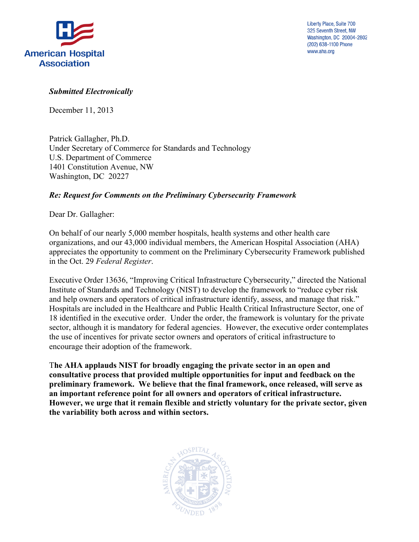

Liberty Place, Suite 700 325 Seventh Street, NW Washington, DC 20004-2802 (202) 638-1100 Phone www.aha.org

#### *Submitted Electronically*

December 11, 2013

Patrick Gallagher, Ph.D. Under Secretary of Commerce for Standards and Technology U.S. Department of Commerce 1401 Constitution Avenue, NW Washington, DC 20227

#### *Re: Request for Comments on the Preliminary Cybersecurity Framework*

Dear Dr. Gallagher:

 in the Oct. 29 *Federal Register*. On behalf of our nearly 5,000 member hospitals, health systems and other health care organizations, and our 43,000 individual members, the American Hospital Association (AHA) appreciates the opportunity to comment on the Preliminary Cybersecurity Framework published

 Institute of Standards and Technology (NIST) to develop the framework to "reduce cyber risk and help owners and operators of critical infrastructure identify, assess, and manage that risk." and help owners and operators of critical infrastructure identify, assess, and manage that risk." Hospitals are included in the Healthcare and Public Health Critical Infrastructure Sector, one of 18 identified in the executive order. Under the order, the framework is voluntary for the private sector, although it is mandatory for federal agencies. However, the executive order contemplates Executive Order 13636, "Improving Critical Infrastructure Cybersecurity," directed the National the use of incentives for private sector owners and operators of critical infrastructure to encourage their adoption of the framework.

 T**he AHA applauds NIST for broadly engaging the private sector in an open and consultative process that provided multiple opportunities for input and feedback on the preliminary framework. We believe that the final framework, once released, will serve as However, we urge that it remain flexible and strictly voluntary for the private sector, given an important reference point for all owners and operators of critical infrastructure. the variability both across and within sectors.** 

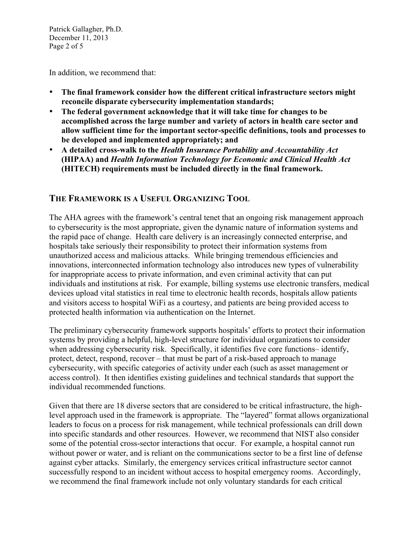December 11, 2013 Patrick Gallagher, Ph.D. Page 2 of 5

In addition, we recommend that:

- The final framework consider how the different critical infrastructure sectors might **reconcile disparate cybersecurity implementation standards;**
- **be developed and implemented appropriately; and**  The federal government acknowledge that it will take time for changes to be **accomplished across the large number and variety of actors in health care sector and allow sufficient time for the important sector-specific definitions, tools and processes to**
- **(HIPAA) and** *Health Information Technology for Economic and Clinical Health Act*  • **A detailed cross-walk to the** *Health Insurance Portability and Accountability Act*  **(HITECH) requirements must be included directly in the final framework.**

### **THE FRAMEWORK IS A USEFUL ORGANIZING TOOL**

 The AHA agrees with the framework's central tenet that an ongoing risk management approach to cybersecurity is the most appropriate, given the dynamic nature of information systems and the rapid pace of change. Health care delivery is an increasingly connected enterprise, and hospitals take seriously their responsibility to protect their information systems from unauthorized access and malicious attacks. While bringing tremendous efficiencies and innovations, interconnected information technology also introduces new types of vulnerability for inappropriate access to private information, and even criminal activity that can put individuals and institutions at risk. For example, billing systems use electronic transfers, medical devices upload vital statistics in real time to electronic health records, hospitals allow patients and visitors access to hospital WiFi as a courtesy, and patients are being provided access to protected health information via authentication on the Internet.

 when addressing cybersecurity risk. Specifically, it identifies five core functions– identify, The preliminary cybersecurity framework supports hospitals' efforts to protect their information systems by providing a helpful, high-level structure for individual organizations to consider protect, detect, respond, recover – that must be part of a risk-based approach to manage cybersecurity, with specific categories of activity under each (such as asset management or access control). It then identifies existing guidelines and technical standards that support the individual recommended functions.

 leaders to focus on a process for risk management, while technical professionals can drill down into specific standards and other resources. However, we recommend that NIST also consider some of the potential cross-sector interactions that occur. For example, a hospital cannot run successfully respond to an incident without access to hospital emergency rooms. Accordingly, Given that there are 18 diverse sectors that are considered to be critical infrastructure, the highlevel approach used in the framework is appropriate. The "layered" format allows organizational without power or water, and is reliant on the communications sector to be a first line of defense against cyber attacks. Similarly, the emergency services critical infrastructure sector cannot we recommend the final framework include not only voluntary standards for each critical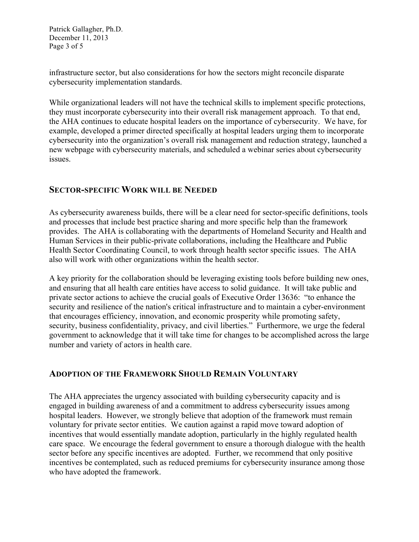December 11, 2013 Patrick Gallagher, Ph.D. Page 3 of 5

infrastructure sector, but also considerations for how the sectors might reconcile disparate cybersecurity implementation standards.

 issues. While organizational leaders will not have the technical skills to implement specific protections, they must incorporate cybersecurity into their overall risk management approach. To that end, the AHA continues to educate hospital leaders on the importance of cybersecurity. We have, for example, developed a primer directed specifically at hospital leaders urging them to incorporate cybersecurity into the organization's overall risk management and reduction strategy, launched a new webpage with cybersecurity materials, and scheduled a webinar series about cybersecurity

#### **SECTOR-SPECIFIC WORK WILL BE NEEDED**

 provides. The AHA is collaborating with the departments of Homeland Security and Health and As cybersecurity awareness builds, there will be a clear need for sector-specific definitions, tools and processes that include best practice sharing and more specific help than the framework Human Services in their public-private collaborations, including the Healthcare and Public Health Sector Coordinating Council, to work through health sector specific issues. The AHA also will work with other organizations within the health sector.

 private sector actions to achieve the crucial goals of Executive Order 13636: "to enhance the security, business confidentiality, privacy, and civil liberties." Furthermore, we urge the federal number and variety of actors in health care. A key priority for the collaboration should be leveraging existing tools before building new ones, and ensuring that all health care entities have access to solid guidance. It will take public and security and resilience of the nation's critical infrastructure and to maintain a cyber-environment that encourages efficiency, innovation, and economic prosperity while promoting safety, government to acknowledge that it will take time for changes to be accomplished across the large

### **ADOPTION OF THE FRAMEWORK SHOULD REMAIN VOLUNTARY**

 The AHA appreciates the urgency associated with building cybersecurity capacity and is hospital leaders. However, we strongly believe that adoption of the framework must remain voluntary for private sector entities. We caution against a rapid move toward adoption of sector before any specific incentives are adopted. Further, we recommend that only positive engaged in building awareness of and a commitment to address cybersecurity issues among incentives that would essentially mandate adoption, particularly in the highly regulated health care space. We encourage the federal government to ensure a thorough dialogue with the health incentives be contemplated, such as reduced premiums for cybersecurity insurance among those who have adopted the framework.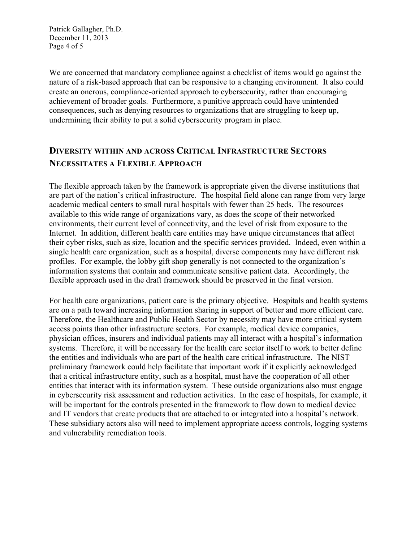December 11, 2013 Patrick Gallagher, Ph.D. Page 4 of 5

 We are concerned that mandatory compliance against a checklist of items would go against the undermining their ability to put a solid cybersecurity program in place. nature of a risk-based approach that can be responsive to a changing environment. It also could create an onerous, compliance-oriented approach to cybersecurity, rather than encouraging achievement of broader goals. Furthermore, a punitive approach could have unintended consequences, such as denying resources to organizations that are struggling to keep up,

## **DIVERSITY WITHIN AND ACROSS CRITICAL INFRASTRUCTURE SECTORS NECESSITATES A FLEXIBLE APPROACH**

 are part of the nation's critical infrastructure. The hospital field alone can range from very large academic medical centers to small rural hospitals with fewer than 25 beds. The resources Internet. In addition, different health care entities may have unique circumstances that affect their cyber risks, such as size, location and the specific services provided. Indeed, even within a single health care organization, such as a hospital, diverse components may have different risk The flexible approach taken by the framework is appropriate given the diverse institutions that available to this wide range of organizations vary, as does the scope of their networked environments, their current level of connectivity, and the level of risk from exposure to the profiles. For example, the lobby gift shop generally is not connected to the organization's information systems that contain and communicate sensitive patient data. Accordingly, the flexible approach used in the draft framework should be preserved in the final version.

 Therefore, the Healthcare and Public Health Sector by necessity may have more critical system the entities and individuals who are part of the health care critical infrastructure. The NIST preliminary framework could help facilitate that important work if it explicitly acknowledged entities that interact with its information system. These outside organizations also must engage in cybersecurity risk assessment and reduction activities. In the case of hospitals, for example, it will be important for the controls presented in the framework to flow down to medical device and IT vendors that create products that are attached to or integrated into a hospital's network. These subsidiary actors also will need to implement appropriate access controls, logging systems For health care organizations, patient care is the primary objective. Hospitals and health systems are on a path toward increasing information sharing in support of better and more efficient care. access points than other infrastructure sectors. For example, medical device companies, physician offices, insurers and individual patients may all interact with a hospital's information systems. Therefore, it will be necessary for the health care sector itself to work to better define that a critical infrastructure entity, such as a hospital, must have the cooperation of all other and vulnerability remediation tools.